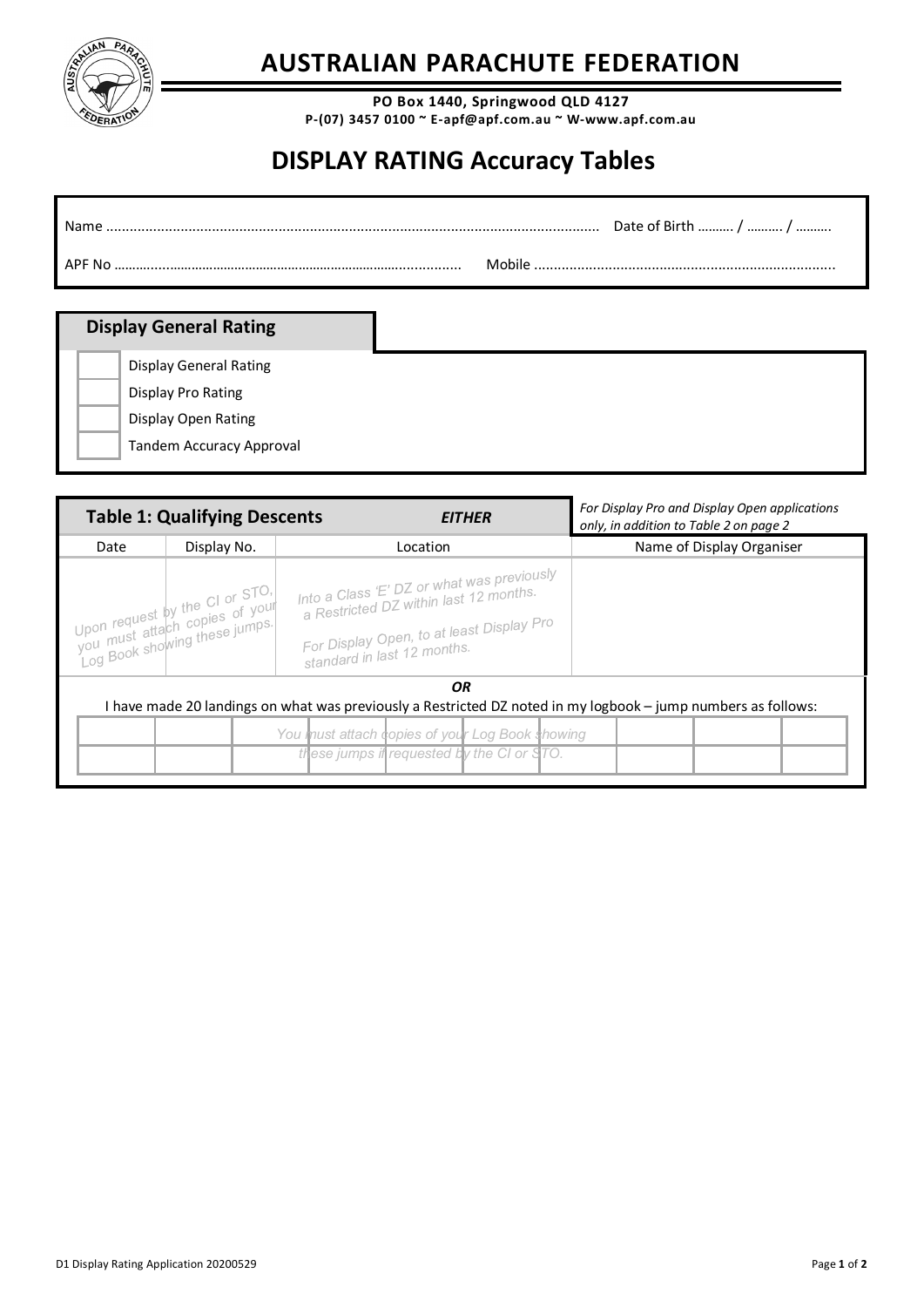

## **AUSTRALIAN PARACHUTE FEDERATION**

**PO Box 1440, Springwood QLD 4127 P-(07) 3457 0100 ~ E-apf@apf.com.au ~ W-www.apf.com.au**

## **DISPLAY RATING Accuracy Tables**

| Name   | Date of Birth  /  / |
|--------|---------------------|
| APF No | <b>مانطم M</b>      |

## **Display General Rating**

Display General Rating

Display Pro Rating

Display Open Rating

Tandem Accuracy Approval

|      | <b>Table 1: Qualifying Descents</b>                                                               | EITHER                                                                                                                                                           | For Display Pro and Display Open applications<br>only, in addition to Table 2 on page 2                       |  |
|------|---------------------------------------------------------------------------------------------------|------------------------------------------------------------------------------------------------------------------------------------------------------------------|---------------------------------------------------------------------------------------------------------------|--|
| Date | Display No.                                                                                       | Location                                                                                                                                                         | Name of Display Organiser                                                                                     |  |
|      | Upon request by the CL or STO.<br>you must attach copies of your<br>Log Book showing these jumps. | Into a Class 'E' DZ or what was previously<br>a Restricted DZ within last 12 months.<br>For Display Open, to at least Display Pro<br>standard in last 12 months. |                                                                                                               |  |
|      |                                                                                                   | OR<br>You must attach copies of your Log Book showing<br>these jumps if requested by the CI or STO.                                                              | I have made 20 landings on what was previously a Restricted DZ noted in my logbook - jump numbers as follows: |  |
|      |                                                                                                   |                                                                                                                                                                  |                                                                                                               |  |